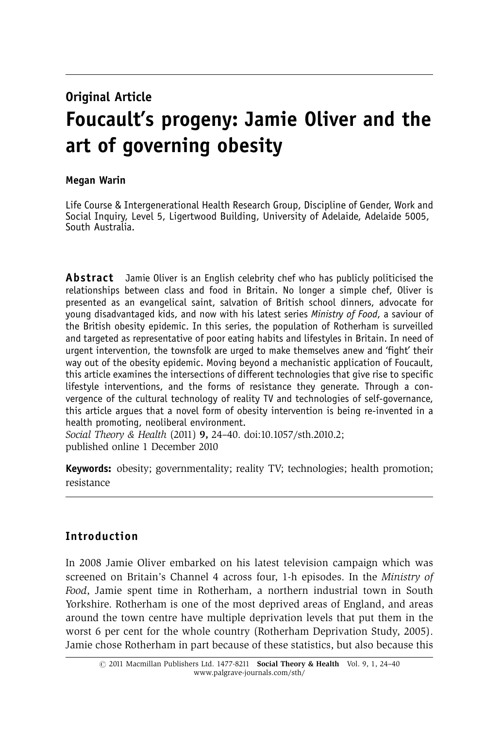# Original Article

# Foucault's progeny: Jamie Oliver and the art of governing obesity

#### Megan Warin

Life Course & Intergenerational Health Research Group, Discipline of Gender, Work and Social Inquiry, Level 5, Ligertwood Building, University of Adelaide, Adelaide 5005, South Australia.

Abstract Jamie Oliver is an English celebrity chef who has publicly politicised the relationships between class and food in Britain. No longer a simple chef, Oliver is presented as an evangelical saint, salvation of British school dinners, advocate for young disadvantaged kids, and now with his latest series Ministry of Food, a saviour of the British obesity epidemic. In this series, the population of Rotherham is surveilled and targeted as representative of poor eating habits and lifestyles in Britain. In need of urgent intervention, the townsfolk are urged to make themselves anew and 'fight' their way out of the obesity epidemic. Moving beyond a mechanistic application of Foucault, this article examines the intersections of different technologies that give rise to specific lifestyle interventions, and the forms of resistance they generate. Through a convergence of the cultural technology of reality TV and technologies of self-governance, this article argues that a novel form of obesity intervention is being re-invented in a health promoting, neoliberal environment.

Social Theory & Health (2011) 9, 24–40. doi:10.1057/sth.2010.2; published online 1 December 2010

Keywords: obesity; governmentality; reality TV; technologies; health promotion; resistance

# Introduction

In 2008 Jamie Oliver embarked on his latest television campaign which was screened on Britain's Channel 4 across four, 1-h episodes. In the Ministry of Food, Jamie spent time in Rotherham, a northern industrial town in South Yorkshire. Rotherham is one of the most deprived areas of England, and areas around the town centre have multiple deprivation levels that put them in the worst 6 per cent for the whole country (Rotherham Deprivation Study, 2005). Jamie chose Rotherham in part because of these statistics, but also because this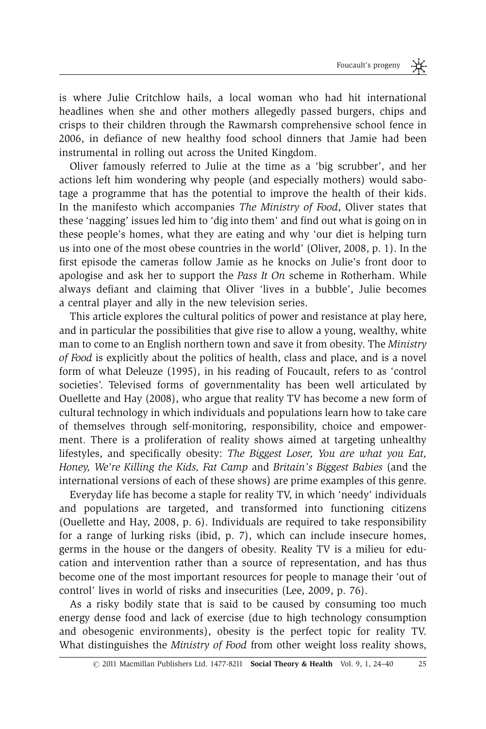is where Julie Critchlow hails, a local woman who had hit international headlines when she and other mothers allegedly passed burgers, chips and crisps to their children through the Rawmarsh comprehensive school fence in 2006, in defiance of new healthy food school dinners that Jamie had been instrumental in rolling out across the United Kingdom.

Oliver famously referred to Julie at the time as a 'big scrubber', and her actions left him wondering why people (and especially mothers) would sabotage a programme that has the potential to improve the health of their kids. In the manifesto which accompanies The Ministry of Food, Oliver states that these 'nagging' issues led him to 'dig into them' and find out what is going on in these people's homes, what they are eating and why 'our diet is helping turn us into one of the most obese countries in the world' (Oliver, 2008, p. 1). In the first episode the cameras follow Jamie as he knocks on Julie's front door to apologise and ask her to support the Pass It On scheme in Rotherham. While always defiant and claiming that Oliver 'lives in a bubble', Julie becomes a central player and ally in the new television series.

This article explores the cultural politics of power and resistance at play here, and in particular the possibilities that give rise to allow a young, wealthy, white man to come to an English northern town and save it from obesity. The Ministry of Food is explicitly about the politics of health, class and place, and is a novel form of what Deleuze (1995), in his reading of Foucault, refers to as 'control societies'. Televised forms of governmentality has been well articulated by Ouellette and Hay (2008), who argue that reality TV has become a new form of cultural technology in which individuals and populations learn how to take care of themselves through self-monitoring, responsibility, choice and empowerment. There is a proliferation of reality shows aimed at targeting unhealthy lifestyles, and specifically obesity: The Biggest Loser, You are what you Eat, Honey, We're Killing the Kids, Fat Camp and Britain's Biggest Babies (and the international versions of each of these shows) are prime examples of this genre.

Everyday life has become a staple for reality TV, in which 'needy' individuals and populations are targeted, and transformed into functioning citizens (Ouellette and Hay, 2008, p. 6). Individuals are required to take responsibility for a range of lurking risks (ibid, p. 7), which can include insecure homes, germs in the house or the dangers of obesity. Reality TV is a milieu for education and intervention rather than a source of representation, and has thus become one of the most important resources for people to manage their 'out of control' lives in world of risks and insecurities (Lee, 2009, p. 76).

As a risky bodily state that is said to be caused by consuming too much energy dense food and lack of exercise (due to high technology consumption and obesogenic environments), obesity is the perfect topic for reality TV. What distinguishes the *Ministry of Food* from other weight loss reality shows,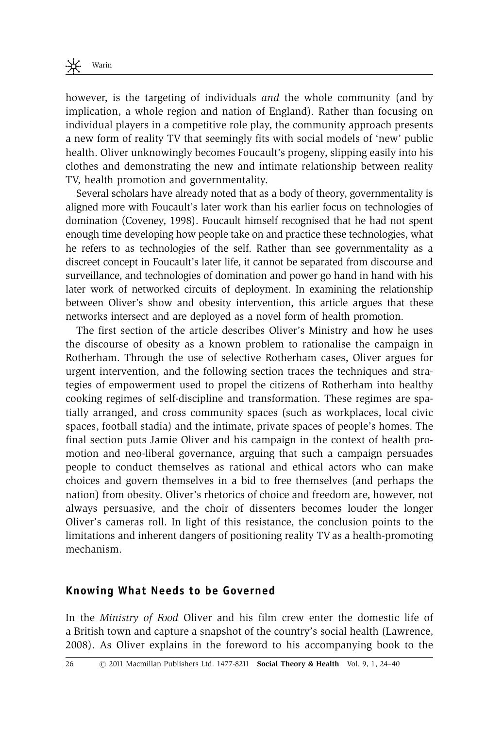however, is the targeting of individuals and the whole community (and by implication, a whole region and nation of England). Rather than focusing on individual players in a competitive role play, the community approach presents a new form of reality TV that seemingly fits with social models of 'new' public health. Oliver unknowingly becomes Foucault's progeny, slipping easily into his clothes and demonstrating the new and intimate relationship between reality TV, health promotion and governmentality.

Several scholars have already noted that as a body of theory, governmentality is aligned more with Foucault's later work than his earlier focus on technologies of domination (Coveney, 1998). Foucault himself recognised that he had not spent enough time developing how people take on and practice these technologies, what he refers to as technologies of the self. Rather than see governmentality as a discreet concept in Foucault's later life, it cannot be separated from discourse and surveillance, and technologies of domination and power go hand in hand with his later work of networked circuits of deployment. In examining the relationship between Oliver's show and obesity intervention, this article argues that these networks intersect and are deployed as a novel form of health promotion.

The first section of the article describes Oliver's Ministry and how he uses the discourse of obesity as a known problem to rationalise the campaign in Rotherham. Through the use of selective Rotherham cases, Oliver argues for urgent intervention, and the following section traces the techniques and strategies of empowerment used to propel the citizens of Rotherham into healthy cooking regimes of self-discipline and transformation. These regimes are spatially arranged, and cross community spaces (such as workplaces, local civic spaces, football stadia) and the intimate, private spaces of people's homes. The final section puts Jamie Oliver and his campaign in the context of health promotion and neo-liberal governance, arguing that such a campaign persuades people to conduct themselves as rational and ethical actors who can make choices and govern themselves in a bid to free themselves (and perhaps the nation) from obesity. Oliver's rhetorics of choice and freedom are, however, not always persuasive, and the choir of dissenters becomes louder the longer Oliver's cameras roll. In light of this resistance, the conclusion points to the limitations and inherent dangers of positioning reality TV as a health-promoting mechanism.

#### Knowing What Needs to be Governed

In the Ministry of Food Oliver and his film crew enter the domestic life of a British town and capture a snapshot of the country's social health (Lawrence, 2008). As Oliver explains in the foreword to his accompanying book to the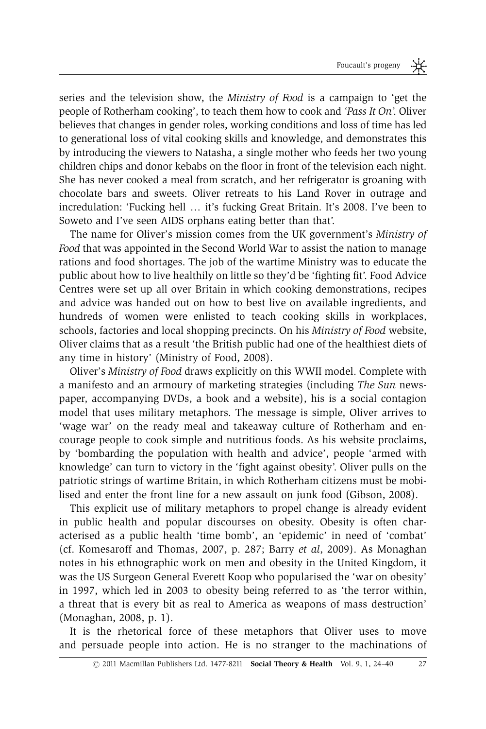series and the television show, the Ministry of Food is a campaign to 'get the people of Rotherham cooking', to teach them how to cook and 'Pass It On'. Oliver believes that changes in gender roles, working conditions and loss of time has led to generational loss of vital cooking skills and knowledge, and demonstrates this by introducing the viewers to Natasha, a single mother who feeds her two young children chips and donor kebabs on the floor in front of the television each night. She has never cooked a meal from scratch, and her refrigerator is groaning with chocolate bars and sweets. Oliver retreats to his Land Rover in outrage and incredulation: 'Fucking hell ... it's fucking Great Britain. It's 2008. I've been to Soweto and I've seen AIDS orphans eating better than that'.

The name for Oliver's mission comes from the UK government's Ministry of Food that was appointed in the Second World War to assist the nation to manage rations and food shortages. The job of the wartime Ministry was to educate the public about how to live healthily on little so they'd be 'fighting fit'. Food Advice Centres were set up all over Britain in which cooking demonstrations, recipes and advice was handed out on how to best live on available ingredients, and hundreds of women were enlisted to teach cooking skills in workplaces, schools, factories and local shopping precincts. On his Ministry of Food website, Oliver claims that as a result 'the British public had one of the healthiest diets of any time in history' (Ministry of Food, 2008).

Oliver's Ministry of Food draws explicitly on this WWII model. Complete with a manifesto and an armoury of marketing strategies (including The Sun newspaper, accompanying DVDs, a book and a website), his is a social contagion model that uses military metaphors. The message is simple, Oliver arrives to 'wage war' on the ready meal and takeaway culture of Rotherham and encourage people to cook simple and nutritious foods. As his website proclaims, by 'bombarding the population with health and advice', people 'armed with knowledge' can turn to victory in the 'fight against obesity'. Oliver pulls on the patriotic strings of wartime Britain, in which Rotherham citizens must be mobilised and enter the front line for a new assault on junk food (Gibson, 2008).

This explicit use of military metaphors to propel change is already evident in public health and popular discourses on obesity. Obesity is often characterised as a public health 'time bomb', an 'epidemic' in need of 'combat' (cf. Komesaroff and Thomas, 2007, p. 287; Barry et al, 2009). As Monaghan notes in his ethnographic work on men and obesity in the United Kingdom, it was the US Surgeon General Everett Koop who popularised the 'war on obesity' in 1997, which led in 2003 to obesity being referred to as 'the terror within, a threat that is every bit as real to America as weapons of mass destruction' (Monaghan, 2008, p. 1).

It is the rhetorical force of these metaphors that Oliver uses to move and persuade people into action. He is no stranger to the machinations of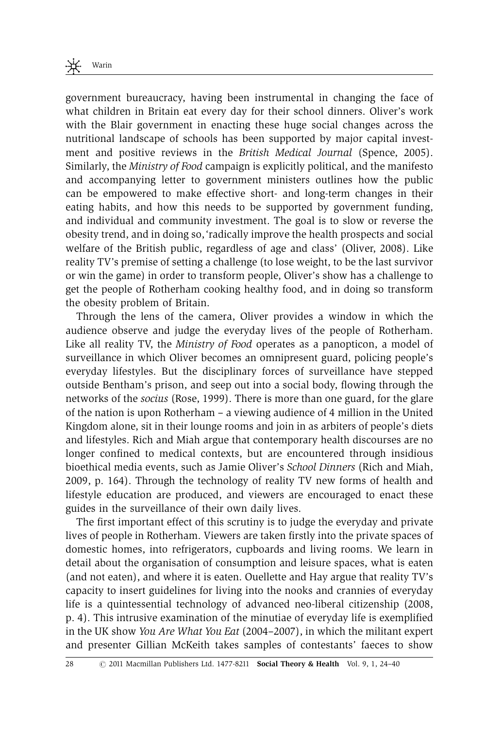

government bureaucracy, having been instrumental in changing the face of what children in Britain eat every day for their school dinners. Oliver's work with the Blair government in enacting these huge social changes across the nutritional landscape of schools has been supported by major capital investment and positive reviews in the British Medical Journal (Spence, 2005). Similarly, the Ministry of Food campaign is explicitly political, and the manifesto and accompanying letter to government ministers outlines how the public can be empowered to make effective short- and long-term changes in their eating habits, and how this needs to be supported by government funding, and individual and community investment. The goal is to slow or reverse the obesity trend, and in doing so,'radically improve the health prospects and social welfare of the British public, regardless of age and class' (Oliver, 2008). Like reality TV's premise of setting a challenge (to lose weight, to be the last survivor or win the game) in order to transform people, Oliver's show has a challenge to get the people of Rotherham cooking healthy food, and in doing so transform the obesity problem of Britain.

Through the lens of the camera, Oliver provides a window in which the audience observe and judge the everyday lives of the people of Rotherham. Like all reality TV, the *Ministry of Food* operates as a panopticon, a model of surveillance in which Oliver becomes an omnipresent guard, policing people's everyday lifestyles. But the disciplinary forces of surveillance have stepped outside Bentham's prison, and seep out into a social body, flowing through the networks of the socius (Rose, 1999). There is more than one guard, for the glare of the nation is upon Rotherham – a viewing audience of 4 million in the United Kingdom alone, sit in their lounge rooms and join in as arbiters of people's diets and lifestyles. Rich and Miah argue that contemporary health discourses are no longer confined to medical contexts, but are encountered through insidious bioethical media events, such as Jamie Oliver's School Dinners (Rich and Miah, 2009, p. 164). Through the technology of reality TV new forms of health and lifestyle education are produced, and viewers are encouraged to enact these guides in the surveillance of their own daily lives.

The first important effect of this scrutiny is to judge the everyday and private lives of people in Rotherham. Viewers are taken firstly into the private spaces of domestic homes, into refrigerators, cupboards and living rooms. We learn in detail about the organisation of consumption and leisure spaces, what is eaten (and not eaten), and where it is eaten. Ouellette and Hay argue that reality TV's capacity to insert guidelines for living into the nooks and crannies of everyday life is a quintessential technology of advanced neo-liberal citizenship (2008, p. 4). This intrusive examination of the minutiae of everyday life is exemplified in the UK show You Are What You Eat (2004–2007), in which the militant expert and presenter Gillian McKeith takes samples of contestants' faeces to show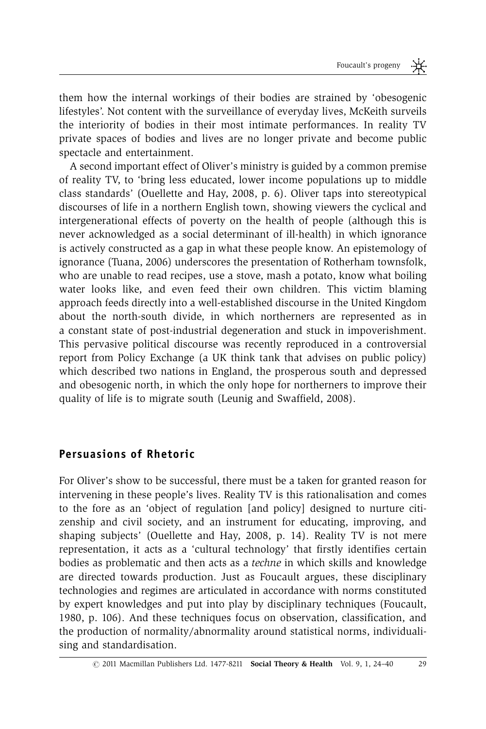them how the internal workings of their bodies are strained by 'obesogenic lifestyles'. Not content with the surveillance of everyday lives, McKeith surveils the interiority of bodies in their most intimate performances. In reality TV private spaces of bodies and lives are no longer private and become public spectacle and entertainment.

A second important effect of Oliver's ministry is guided by a common premise of reality TV, to 'bring less educated, lower income populations up to middle class standards' (Ouellette and Hay, 2008, p. 6). Oliver taps into stereotypical discourses of life in a northern English town, showing viewers the cyclical and intergenerational effects of poverty on the health of people (although this is never acknowledged as a social determinant of ill-health) in which ignorance is actively constructed as a gap in what these people know. An epistemology of ignorance (Tuana, 2006) underscores the presentation of Rotherham townsfolk, who are unable to read recipes, use a stove, mash a potato, know what boiling water looks like, and even feed their own children. This victim blaming approach feeds directly into a well-established discourse in the United Kingdom about the north-south divide, in which northerners are represented as in a constant state of post-industrial degeneration and stuck in impoverishment. This pervasive political discourse was recently reproduced in a controversial report from Policy Exchange (a UK think tank that advises on public policy) which described two nations in England, the prosperous south and depressed and obesogenic north, in which the only hope for northerners to improve their quality of life is to migrate south (Leunig and Swaffield, 2008).

# Persuasions of Rhetoric

For Oliver's show to be successful, there must be a taken for granted reason for intervening in these people's lives. Reality TV is this rationalisation and comes to the fore as an 'object of regulation [and policy] designed to nurture citizenship and civil society, and an instrument for educating, improving, and shaping subjects' (Ouellette and Hay, 2008, p. 14). Reality TV is not mere representation, it acts as a 'cultural technology' that firstly identifies certain bodies as problematic and then acts as a techne in which skills and knowledge are directed towards production. Just as Foucault argues, these disciplinary technologies and regimes are articulated in accordance with norms constituted by expert knowledges and put into play by disciplinary techniques (Foucault, 1980, p. 106). And these techniques focus on observation, classification, and the production of normality/abnormality around statistical norms, individualising and standardisation.

 $\odot$  2011 Macmillan Publishers Ltd. 1477-8211 Social Theory & Health Vol. 9, 1, 24-40 29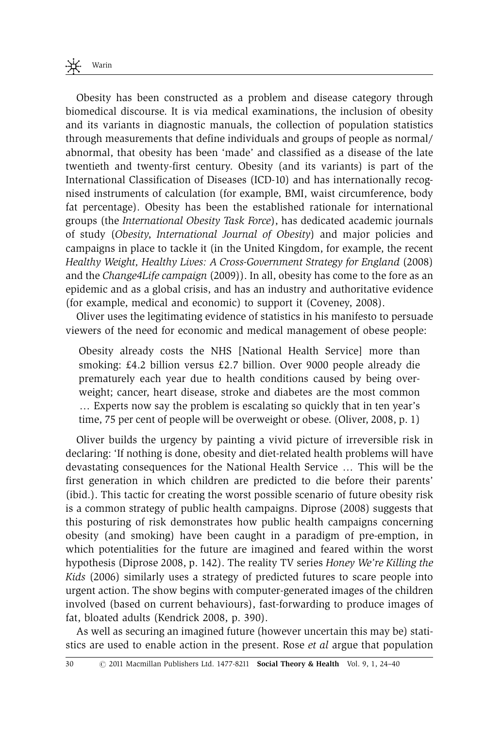Obesity has been constructed as a problem and disease category through biomedical discourse. It is via medical examinations, the inclusion of obesity and its variants in diagnostic manuals, the collection of population statistics through measurements that define individuals and groups of people as normal/ abnormal, that obesity has been 'made' and classified as a disease of the late twentieth and twenty-first century. Obesity (and its variants) is part of the International Classification of Diseases (ICD-10) and has internationally recognised instruments of calculation (for example, BMI, waist circumference, body fat percentage). Obesity has been the established rationale for international groups (the International Obesity Task Force), has dedicated academic journals of study (Obesity, International Journal of Obesity) and major policies and campaigns in place to tackle it (in the United Kingdom, for example, the recent Healthy Weight, Healthy Lives: A Cross-Government Strategy for England (2008) and the Change4Life campaign (2009)). In all, obesity has come to the fore as an epidemic and as a global crisis, and has an industry and authoritative evidence (for example, medical and economic) to support it (Coveney, 2008).

Oliver uses the legitimating evidence of statistics in his manifesto to persuade viewers of the need for economic and medical management of obese people:

Obesity already costs the NHS [National Health Service] more than smoking: £4.2 billion versus £2.7 billion. Over 9000 people already die prematurely each year due to health conditions caused by being overweight; cancer, heart disease, stroke and diabetes are the most common ... Experts now say the problem is escalating so quickly that in ten year's time, 75 per cent of people will be overweight or obese. (Oliver, 2008, p. 1)

Oliver builds the urgency by painting a vivid picture of irreversible risk in declaring: 'If nothing is done, obesity and diet-related health problems will have devastating consequences for the National Health Service ... This will be the first generation in which children are predicted to die before their parents' (ibid.). This tactic for creating the worst possible scenario of future obesity risk is a common strategy of public health campaigns. Diprose (2008) suggests that this posturing of risk demonstrates how public health campaigns concerning obesity (and smoking) have been caught in a paradigm of pre-emption, in which potentialities for the future are imagined and feared within the worst hypothesis (Diprose 2008, p. 142). The reality TV series Honey We're Killing the Kids (2006) similarly uses a strategy of predicted futures to scare people into urgent action. The show begins with computer-generated images of the children involved (based on current behaviours), fast-forwarding to produce images of fat, bloated adults (Kendrick 2008, p. 390).

As well as securing an imagined future (however uncertain this may be) statistics are used to enable action in the present. Rose *et al* argue that population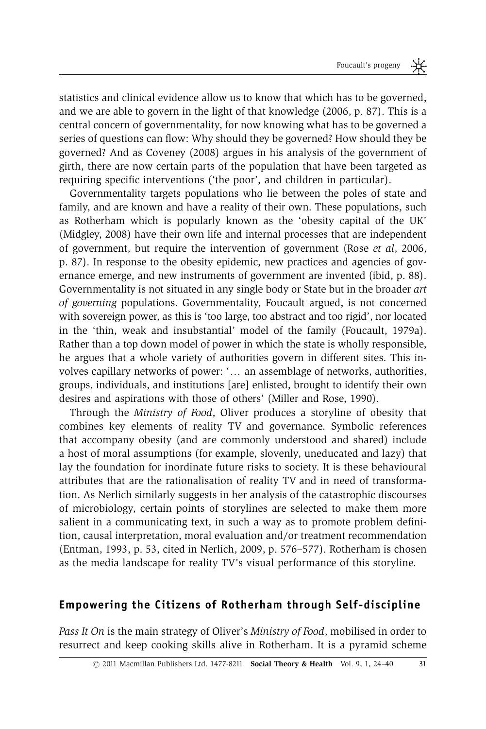statistics and clinical evidence allow us to know that which has to be governed, and we are able to govern in the light of that knowledge (2006, p. 87). This is a central concern of governmentality, for now knowing what has to be governed a series of questions can flow: Why should they be governed? How should they be governed? And as Coveney (2008) argues in his analysis of the government of girth, there are now certain parts of the population that have been targeted as requiring specific interventions ('the poor', and children in particular).

Governmentality targets populations who lie between the poles of state and family, and are known and have a reality of their own. These populations, such as Rotherham which is popularly known as the 'obesity capital of the UK' (Midgley, 2008) have their own life and internal processes that are independent of government, but require the intervention of government (Rose et al, 2006, p. 87). In response to the obesity epidemic, new practices and agencies of governance emerge, and new instruments of government are invented (ibid, p. 88). Governmentality is not situated in any single body or State but in the broader art of governing populations. Governmentality, Foucault argued, is not concerned with sovereign power, as this is 'too large, too abstract and too rigid', nor located in the 'thin, weak and insubstantial' model of the family (Foucault, 1979a). Rather than a top down model of power in which the state is wholly responsible, he argues that a whole variety of authorities govern in different sites. This involves capillary networks of power: '... an assemblage of networks, authorities, groups, individuals, and institutions [are] enlisted, brought to identify their own desires and aspirations with those of others' (Miller and Rose, 1990).

Through the *Ministry of Food*, Oliver produces a storyline of obesity that combines key elements of reality TV and governance. Symbolic references that accompany obesity (and are commonly understood and shared) include a host of moral assumptions (for example, slovenly, uneducated and lazy) that lay the foundation for inordinate future risks to society. It is these behavioural attributes that are the rationalisation of reality TV and in need of transformation. As Nerlich similarly suggests in her analysis of the catastrophic discourses of microbiology, certain points of storylines are selected to make them more salient in a communicating text, in such a way as to promote problem definition, causal interpretation, moral evaluation and/or treatment recommendation (Entman, 1993, p. 53, cited in Nerlich, 2009, p. 576–577). Rotherham is chosen as the media landscape for reality TV's visual performance of this storyline.

# Empowering the Citizens of Rotherham through Self-discipline

Pass It On is the main strategy of Oliver's Ministry of Food, mobilised in order to resurrect and keep cooking skills alive in Rotherham. It is a pyramid scheme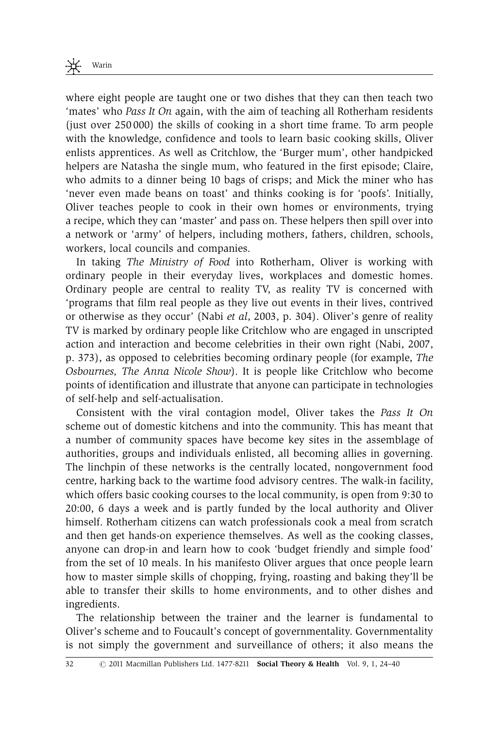where eight people are taught one or two dishes that they can then teach two 'mates' who Pass It On again, with the aim of teaching all Rotherham residents (just over 250 000) the skills of cooking in a short time frame. To arm people with the knowledge, confidence and tools to learn basic cooking skills, Oliver enlists apprentices. As well as Critchlow, the 'Burger mum', other handpicked helpers are Natasha the single mum, who featured in the first episode; Claire, who admits to a dinner being 10 bags of crisps; and Mick the miner who has 'never even made beans on toast' and thinks cooking is for 'poofs'. Initially, Oliver teaches people to cook in their own homes or environments, trying a recipe, which they can 'master' and pass on. These helpers then spill over into a network or 'army' of helpers, including mothers, fathers, children, schools, workers, local councils and companies.

In taking The Ministry of Food into Rotherham, Oliver is working with ordinary people in their everyday lives, workplaces and domestic homes. Ordinary people are central to reality TV, as reality TV is concerned with 'programs that film real people as they live out events in their lives, contrived or otherwise as they occur' (Nabi et al, 2003, p. 304). Oliver's genre of reality TV is marked by ordinary people like Critchlow who are engaged in unscripted action and interaction and become celebrities in their own right (Nabi, 2007, p. 373), as opposed to celebrities becoming ordinary people (for example, The Osbournes, The Anna Nicole Show). It is people like Critchlow who become points of identification and illustrate that anyone can participate in technologies of self-help and self-actualisation.

Consistent with the viral contagion model, Oliver takes the Pass It On scheme out of domestic kitchens and into the community. This has meant that a number of community spaces have become key sites in the assemblage of authorities, groups and individuals enlisted, all becoming allies in governing. The linchpin of these networks is the centrally located, nongovernment food centre, harking back to the wartime food advisory centres. The walk-in facility, which offers basic cooking courses to the local community, is open from 9:30 to 20:00, 6 days a week and is partly funded by the local authority and Oliver himself. Rotherham citizens can watch professionals cook a meal from scratch and then get hands-on experience themselves. As well as the cooking classes, anyone can drop-in and learn how to cook 'budget friendly and simple food' from the set of 10 meals. In his manifesto Oliver argues that once people learn how to master simple skills of chopping, frying, roasting and baking they'll be able to transfer their skills to home environments, and to other dishes and ingredients.

The relationship between the trainer and the learner is fundamental to Oliver's scheme and to Foucault's concept of governmentality. Governmentality is not simply the government and surveillance of others; it also means the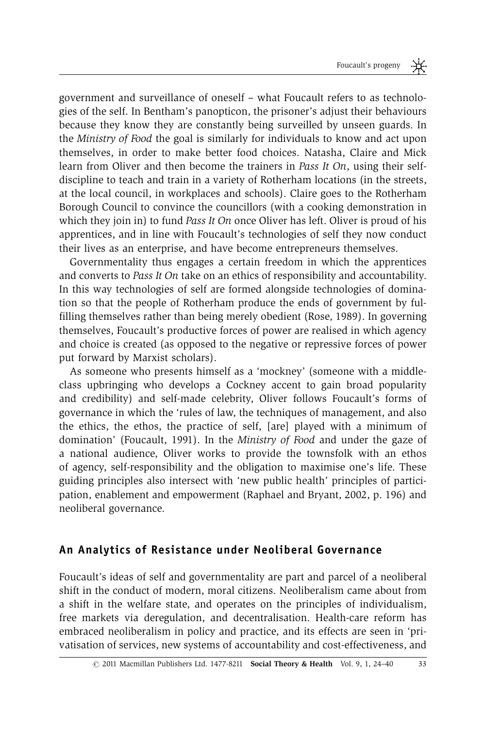government and surveillance of oneself – what Foucault refers to as technologies of the self. In Bentham's panopticon, the prisoner's adjust their behaviours because they know they are constantly being surveilled by unseen guards. In the Ministry of Food the goal is similarly for individuals to know and act upon themselves, in order to make better food choices. Natasha, Claire and Mick learn from Oliver and then become the trainers in Pass It On, using their selfdiscipline to teach and train in a variety of Rotherham locations (in the streets, at the local council, in workplaces and schools). Claire goes to the Rotherham Borough Council to convince the councillors (with a cooking demonstration in which they join in) to fund Pass It On once Oliver has left. Oliver is proud of his apprentices, and in line with Foucault's technologies of self they now conduct their lives as an enterprise, and have become entrepreneurs themselves.

Governmentality thus engages a certain freedom in which the apprentices and converts to Pass It On take on an ethics of responsibility and accountability. In this way technologies of self are formed alongside technologies of domination so that the people of Rotherham produce the ends of government by fulfilling themselves rather than being merely obedient (Rose, 1989). In governing themselves, Foucault's productive forces of power are realised in which agency and choice is created (as opposed to the negative or repressive forces of power put forward by Marxist scholars).

As someone who presents himself as a 'mockney' (someone with a middleclass upbringing who develops a Cockney accent to gain broad popularity and credibility) and self-made celebrity, Oliver follows Foucault's forms of governance in which the 'rules of law, the techniques of management, and also the ethics, the ethos, the practice of self, [are] played with a minimum of domination' (Foucault, 1991). In the Ministry of Food and under the gaze of a national audience, Oliver works to provide the townsfolk with an ethos of agency, self-responsibility and the obligation to maximise one's life. These guiding principles also intersect with 'new public health' principles of participation, enablement and empowerment (Raphael and Bryant, 2002, p. 196) and neoliberal governance.

# An Analytics of Resistance under Neoliberal Governance

Foucault's ideas of self and governmentality are part and parcel of a neoliberal shift in the conduct of modern, moral citizens. Neoliberalism came about from a shift in the welfare state, and operates on the principles of individualism, free markets via deregulation, and decentralisation. Health-care reform has embraced neoliberalism in policy and practice, and its effects are seen in 'privatisation of services, new systems of accountability and cost-effectiveness, and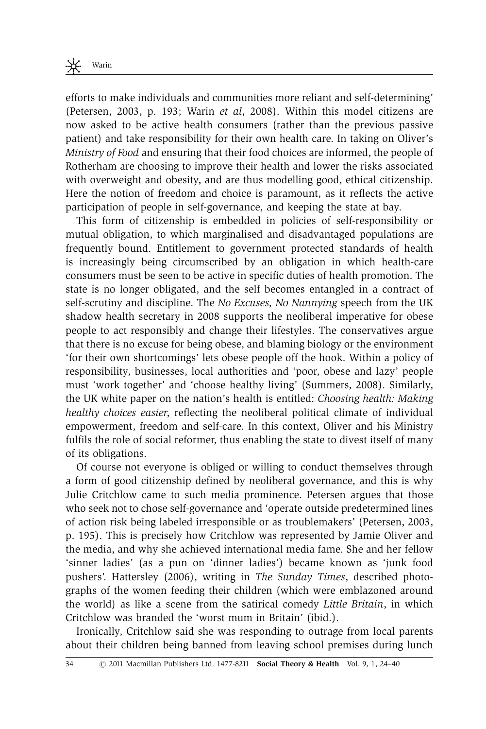efforts to make individuals and communities more reliant and self-determining' (Petersen, 2003, p. 193; Warin et al, 2008). Within this model citizens are now asked to be active health consumers (rather than the previous passive patient) and take responsibility for their own health care. In taking on Oliver's Ministry of Food and ensuring that their food choices are informed, the people of Rotherham are choosing to improve their health and lower the risks associated with overweight and obesity, and are thus modelling good, ethical citizenship. Here the notion of freedom and choice is paramount, as it reflects the active participation of people in self-governance, and keeping the state at bay.

This form of citizenship is embedded in policies of self-responsibility or mutual obligation, to which marginalised and disadvantaged populations are frequently bound. Entitlement to government protected standards of health is increasingly being circumscribed by an obligation in which health-care consumers must be seen to be active in specific duties of health promotion. The state is no longer obligated, and the self becomes entangled in a contract of self-scrutiny and discipline. The No Excuses, No Nannying speech from the UK shadow health secretary in 2008 supports the neoliberal imperative for obese people to act responsibly and change their lifestyles. The conservatives argue that there is no excuse for being obese, and blaming biology or the environment 'for their own shortcomings' lets obese people off the hook. Within a policy of responsibility, businesses, local authorities and 'poor, obese and lazy' people must 'work together' and 'choose healthy living' (Summers, 2008). Similarly, the UK white paper on the nation's health is entitled: Choosing health: Making healthy choices easier, reflecting the neoliberal political climate of individual empowerment, freedom and self-care. In this context, Oliver and his Ministry fulfils the role of social reformer, thus enabling the state to divest itself of many of its obligations.

Of course not everyone is obliged or willing to conduct themselves through a form of good citizenship defined by neoliberal governance, and this is why Julie Critchlow came to such media prominence. Petersen argues that those who seek not to chose self-governance and 'operate outside predetermined lines of action risk being labeled irresponsible or as troublemakers' (Petersen, 2003, p. 195). This is precisely how Critchlow was represented by Jamie Oliver and the media, and why she achieved international media fame. She and her fellow 'sinner ladies' (as a pun on 'dinner ladies') became known as 'junk food pushers'. Hattersley (2006), writing in The Sunday Times, described photographs of the women feeding their children (which were emblazoned around the world) as like a scene from the satirical comedy Little Britain, in which Critchlow was branded the 'worst mum in Britain' (ibid.).

Ironically, Critchlow said she was responding to outrage from local parents about their children being banned from leaving school premises during lunch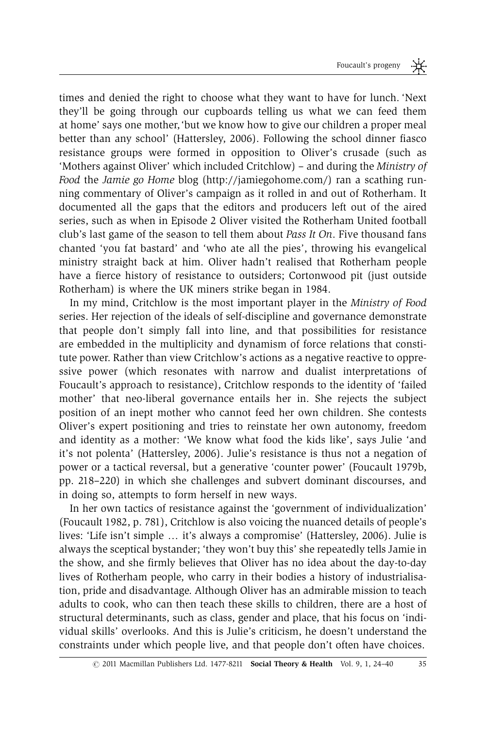times and denied the right to choose what they want to have for lunch. 'Next they'll be going through our cupboards telling us what we can feed them at home' says one mother,'but we know how to give our children a proper meal better than any school' (Hattersley, 2006). Following the school dinner fiasco resistance groups were formed in opposition to Oliver's crusade (such as 'Mothers against Oliver' which included Critchlow) – and during the Ministry of Food the Jamie go Home blog (http://jamiegohome.com/) ran a scathing running commentary of Oliver's campaign as it rolled in and out of Rotherham. It documented all the gaps that the editors and producers left out of the aired series, such as when in Episode 2 Oliver visited the Rotherham United football club's last game of the season to tell them about *Pass It On*. Five thousand fans chanted 'you fat bastard' and 'who ate all the pies', throwing his evangelical ministry straight back at him. Oliver hadn't realised that Rotherham people have a fierce history of resistance to outsiders; Cortonwood pit (just outside Rotherham) is where the UK miners strike began in 1984.

In my mind, Critchlow is the most important player in the Ministry of Food series. Her rejection of the ideals of self-discipline and governance demonstrate that people don't simply fall into line, and that possibilities for resistance are embedded in the multiplicity and dynamism of force relations that constitute power. Rather than view Critchlow's actions as a negative reactive to oppressive power (which resonates with narrow and dualist interpretations of Foucault's approach to resistance), Critchlow responds to the identity of 'failed mother' that neo-liberal governance entails her in. She rejects the subject position of an inept mother who cannot feed her own children. She contests Oliver's expert positioning and tries to reinstate her own autonomy, freedom and identity as a mother: 'We know what food the kids like', says Julie 'and it's not polenta' (Hattersley, 2006). Julie's resistance is thus not a negation of power or a tactical reversal, but a generative 'counter power' (Foucault 1979b, pp. 218–220) in which she challenges and subvert dominant discourses, and in doing so, attempts to form herself in new ways.

In her own tactics of resistance against the 'government of individualization' (Foucault 1982, p. 781), Critchlow is also voicing the nuanced details of people's lives: 'Life isn't simple ... it's always a compromise' (Hattersley, 2006). Julie is always the sceptical bystander; 'they won't buy this' she repeatedly tells Jamie in the show, and she firmly believes that Oliver has no idea about the day-to-day lives of Rotherham people, who carry in their bodies a history of industrialisation, pride and disadvantage. Although Oliver has an admirable mission to teach adults to cook, who can then teach these skills to children, there are a host of structural determinants, such as class, gender and place, that his focus on 'individual skills' overlooks. And this is Julie's criticism, he doesn't understand the constraints under which people live, and that people don't often have choices.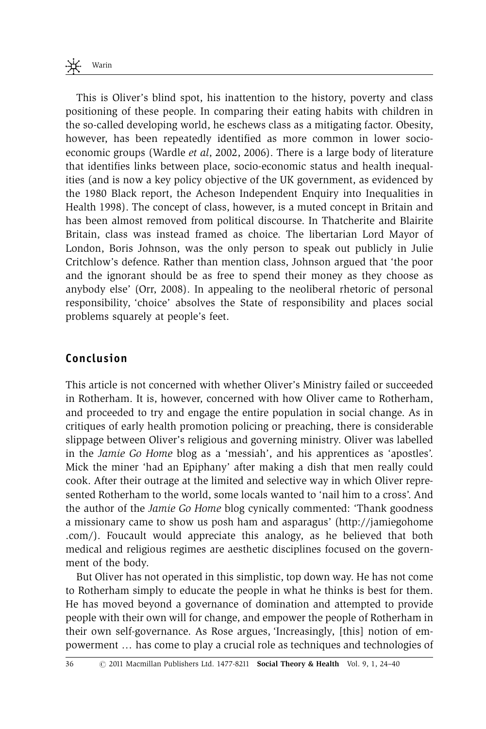This is Oliver's blind spot, his inattention to the history, poverty and class positioning of these people. In comparing their eating habits with children in the so-called developing world, he eschews class as a mitigating factor. Obesity, however, has been repeatedly identified as more common in lower socioeconomic groups (Wardle et al, 2002, 2006). There is a large body of literature that identifies links between place, socio-economic status and health inequalities (and is now a key policy objective of the UK government, as evidenced by the 1980 Black report, the Acheson Independent Enquiry into Inequalities in Health 1998). The concept of class, however, is a muted concept in Britain and has been almost removed from political discourse. In Thatcherite and Blairite Britain, class was instead framed as choice. The libertarian Lord Mayor of London, Boris Johnson, was the only person to speak out publicly in Julie Critchlow's defence. Rather than mention class, Johnson argued that 'the poor and the ignorant should be as free to spend their money as they choose as anybody else' (Orr, 2008). In appealing to the neoliberal rhetoric of personal responsibility, 'choice' absolves the State of responsibility and places social problems squarely at people's feet.

# Conclusion

This article is not concerned with whether Oliver's Ministry failed or succeeded in Rotherham. It is, however, concerned with how Oliver came to Rotherham, and proceeded to try and engage the entire population in social change. As in critiques of early health promotion policing or preaching, there is considerable slippage between Oliver's religious and governing ministry. Oliver was labelled in the Jamie Go Home blog as a 'messiah', and his apprentices as 'apostles'. Mick the miner 'had an Epiphany' after making a dish that men really could cook. After their outrage at the limited and selective way in which Oliver represented Rotherham to the world, some locals wanted to 'nail him to a cross'. And the author of the Jamie Go Home blog cynically commented: 'Thank goodness a missionary came to show us posh ham and asparagus' (http://jamiegohome .com/). Foucault would appreciate this analogy, as he believed that both medical and religious regimes are aesthetic disciplines focused on the government of the body.

But Oliver has not operated in this simplistic, top down way. He has not come to Rotherham simply to educate the people in what he thinks is best for them. He has moved beyond a governance of domination and attempted to provide people with their own will for change, and empower the people of Rotherham in their own self-governance. As Rose argues, 'Increasingly, [this] notion of empowerment  $\ldots$  has come to play a crucial role as techniques and technologies of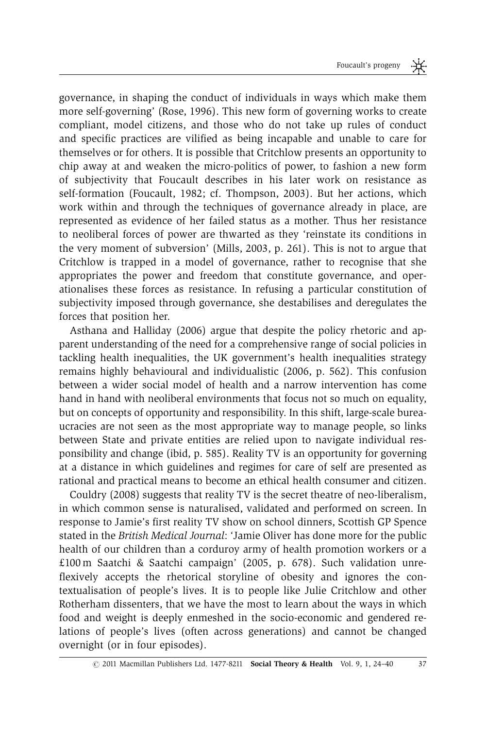governance, in shaping the conduct of individuals in ways which make them more self-governing' (Rose, 1996). This new form of governing works to create compliant, model citizens, and those who do not take up rules of conduct and specific practices are vilified as being incapable and unable to care for themselves or for others. It is possible that Critchlow presents an opportunity to chip away at and weaken the micro-politics of power, to fashion a new form of subjectivity that Foucault describes in his later work on resistance as self-formation (Foucault, 1982; cf. Thompson, 2003). But her actions, which work within and through the techniques of governance already in place, are represented as evidence of her failed status as a mother. Thus her resistance to neoliberal forces of power are thwarted as they 'reinstate its conditions in the very moment of subversion' (Mills, 2003, p. 261). This is not to argue that Critchlow is trapped in a model of governance, rather to recognise that she appropriates the power and freedom that constitute governance, and operationalises these forces as resistance. In refusing a particular constitution of subjectivity imposed through governance, she destabilises and deregulates the forces that position her.

Asthana and Halliday (2006) argue that despite the policy rhetoric and apparent understanding of the need for a comprehensive range of social policies in tackling health inequalities, the UK government's health inequalities strategy remains highly behavioural and individualistic (2006, p. 562). This confusion between a wider social model of health and a narrow intervention has come hand in hand with neoliberal environments that focus not so much on equality, but on concepts of opportunity and responsibility. In this shift, large-scale bureaucracies are not seen as the most appropriate way to manage people, so links between State and private entities are relied upon to navigate individual responsibility and change (ibid, p. 585). Reality TV is an opportunity for governing at a distance in which guidelines and regimes for care of self are presented as rational and practical means to become an ethical health consumer and citizen.

Couldry (2008) suggests that reality TV is the secret theatre of neo-liberalism, in which common sense is naturalised, validated and performed on screen. In response to Jamie's first reality TV show on school dinners, Scottish GP Spence stated in the British Medical Journal: 'Jamie Oliver has done more for the public health of our children than a corduroy army of health promotion workers or a £100 m Saatchi & Saatchi campaign' (2005, p. 678). Such validation unreflexively accepts the rhetorical storyline of obesity and ignores the contextualisation of people's lives. It is to people like Julie Critchlow and other Rotherham dissenters, that we have the most to learn about the ways in which food and weight is deeply enmeshed in the socio-economic and gendered relations of people's lives (often across generations) and cannot be changed overnight (or in four episodes).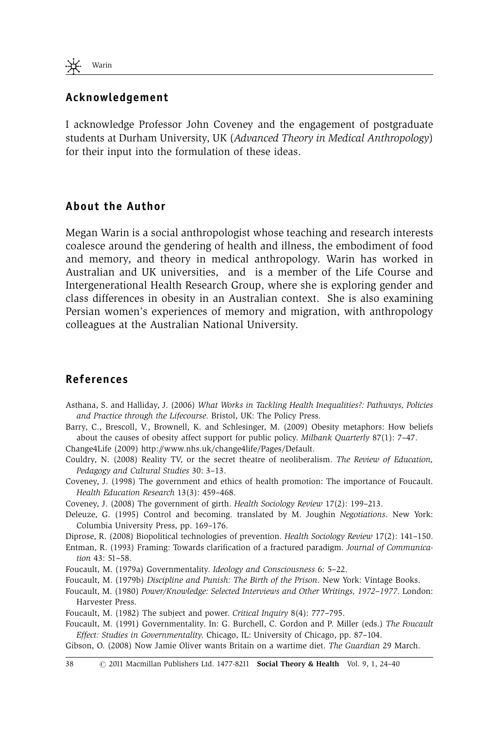

#### Acknowledgement

I acknowledge Professor John Coveney and the engagement of postgraduate students at Durham University, UK (Advanced Theory in Medical Anthropology) for their input into the formulation of these ideas.

#### About the Author

Megan Warin is a social anthropologist whose teaching and research interests coalesce around the gendering of health and illness, the embodiment of food and memory, and theory in medical anthropology. Warin has worked in Australian and UK universities, and is a member of the Life Course and Intergenerational Health Research Group, where she is exploring gender and class differences in obesity in an Australian context. She is also examining Persian women's experiences of memory and migration, with anthropology colleagues at the Australian National University.

#### References

- Asthana, S. and Halliday, J. (2006) What Works in Tackling Health Inequalities?: Pathways, Policies and Practice through the Lifecourse. Bristol, UK: The Policy Press.
- Barry, C., Brescoll, V., Brownell, K. and Schlesinger, M. (2009) Obesity metaphors: How beliefs about the causes of obesity affect support for public policy. Milbank Quarterly 87(1): 7–47.
- Change4Life (2009) http://www.nhs.uk/change4life/Pages/Default.
- Couldry, N. (2008) Reality TV, or the secret theatre of neoliberalism. The Review of Education, Pedagogy and Cultural Studies 30: 3–13.
- Coveney, J. (1998) The government and ethics of health promotion: The importance of Foucault. Health Education Research 13(3): 459–468.
- Coveney, J. (2008) The government of girth. Health Sociology Review 17(2): 199–213.
- Deleuze, G. (1995) Control and becoming. translated by M. Joughin Negotiations. New York: Columbia University Press, pp. 169–176.
- Diprose, R. (2008) Biopolitical technologies of prevention. Health Sociology Review 17(2): 141–150.
- Entman, R. (1993) Framing: Towards clarification of a fractured paradigm. Journal of Communication 43: 51–58.
- Foucault, M. (1979a) Governmentality. Ideology and Consciousness 6: 5–22.
- Foucault, M. (1979b) Discipline and Punish: The Birth of the Prison. New York: Vintage Books.
- Foucault, M. (1980) Power/Knowledge: Selected Interviews and Other Writings, 1972–1977. London: Harvester Press.
- Foucault, M. (1982) The subject and power. Critical Inquiry 8(4): 777–795.
- Foucault, M. (1991) Governmentality. In: G. Burchell, C. Gordon and P. Miller (eds.) The Foucault Effect: Studies in Governmentality. Chicago, IL: University of Chicago, pp. 87–104.
- Gibson, O. (2008) Now Jamie Oliver wants Britain on a wartime diet. The Guardian 29 March.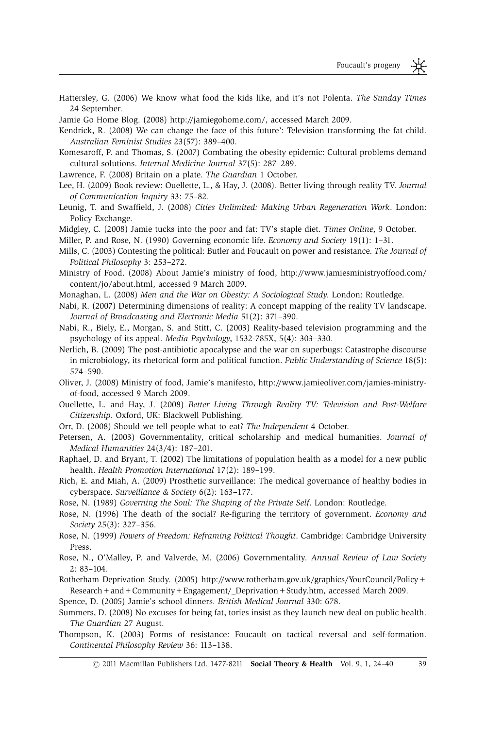- Hattersley, G. (2006) We know what food the kids like, and it's not Polenta. The Sunday Times 24 September.
- Jamie Go Home Blog. (2008) http://jamiegohome.com/, accessed March 2009.
- Kendrick, R. (2008) We can change the face of this future': Television transforming the fat child. Australian Feminist Studies 23(57): 389–400.
- Komesaroff, P. and Thomas, S. (2007) Combating the obesity epidemic: Cultural problems demand cultural solutions. Internal Medicine Journal 37(5): 287–289.
- Lawrence, F. (2008) Britain on a plate. The Guardian 1 October.
- Lee, H. (2009) Book review: Ouellette, L., & Hay, J. (2008). Better living through reality TV. Journal of Communication Inquiry 33: 75–82.
- Leunig, T. and Swaffield, J. (2008) Cities Unlimited: Making Urban Regeneration Work. London: Policy Exchange.
- Midgley, C. (2008) Jamie tucks into the poor and fat: TV's staple diet. Times Online, 9 October.
- Miller, P. and Rose, N. (1990) Governing economic life. Economy and Society 19(1): 1–31.
- Mills, C. (2003) Contesting the political: Butler and Foucault on power and resistance. The Journal of Political Philosophy 3: 253–272.
- Ministry of Food. (2008) About Jamie's ministry of food, http://www.jamiesministryoffood.com/ content/jo/about.html, accessed 9 March 2009.
- Monaghan, L. (2008) Men and the War on Obesity: A Sociological Study. London: Routledge.
- Nabi, R. (2007) Determining dimensions of reality: A concept mapping of the reality TV landscape. Journal of Broadcasting and Electronic Media 51(2): 371–390.
- Nabi, R., Biely, E., Morgan, S. and Stitt, C. (2003) Reality-based television programming and the psychology of its appeal. Media Psychology, 1532-785X, 5(4): 303–330.
- Nerlich, B. (2009) The post-antibiotic apocalypse and the war on superbugs: Catastrophe discourse in microbiology, its rhetorical form and political function. Public Understanding of Science 18(5): 574–590.
- Oliver, J. (2008) Ministry of food, Jamie's manifesto, http://www.jamieoliver.com/jamies-ministryof-food, accessed 9 March 2009.
- Ouellette, L. and Hay, J. (2008) Better Living Through Reality TV: Television and Post-Welfare Citizenship. Oxford, UK: Blackwell Publishing.
- Orr, D. (2008) Should we tell people what to eat? The Independent 4 October.
- Petersen, A. (2003) Governmentality, critical scholarship and medical humanities. Journal of Medical Humanities 24(3/4): 187–201.
- Raphael, D. and Bryant, T. (2002) The limitations of population health as a model for a new public health. Health Promotion International 17(2): 189–199.
- Rich, E. and Miah, A. (2009) Prosthetic surveillance: The medical governance of healthy bodies in cyberspace. Surveillance & Society 6(2): 163–177.
- Rose, N. (1989) Governing the Soul: The Shaping of the Private Self. London: Routledge.
- Rose, N. (1996) The death of the social? Re-figuring the territory of government. Economy and Society 25(3): 327–356.
- Rose, N. (1999) Powers of Freedom: Reframing Political Thought. Cambridge: Cambridge University Press.
- Rose, N., O'Malley, P. and Valverde, M. (2006) Governmentality. Annual Review of Law Society 2: 83–104.
- Rotherham Deprivation Study. (2005) http://www.rotherham.gov.uk/graphics/YourCouncil/Policy+ Research+and+Community+Engagement/\_Deprivation+Study.htm, accessed March 2009.

Spence, D. (2005) Jamie's school dinners. British Medical Journal 330: 678.

- Summers, D. (2008) No excuses for being fat, tories insist as they launch new deal on public health. The Guardian 27 August.
- Thompson, K. (2003) Forms of resistance: Foucault on tactical reversal and self-formation. Continental Philosophy Review 36: 113–138.